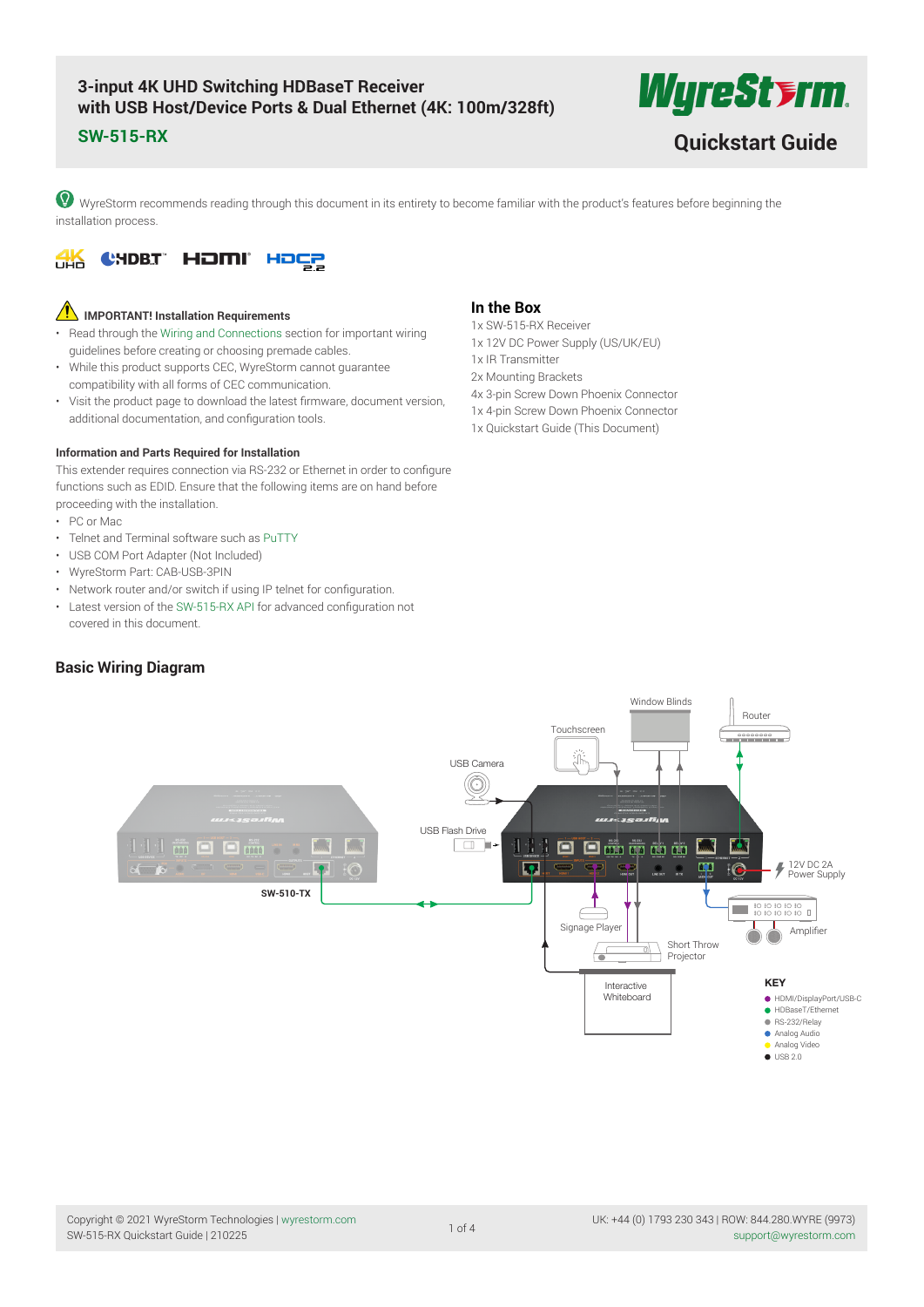# **3-input 4K UHD Switching HDBaseT Receiver with USB Host/Device Ports & Dual Ethernet (4K: 100m/328ft)**

*WyreStyrm* 

**SW-515-RX [Quickstart Guide](https://www.ivojo.co.uk/products.php?man=WyreStorm)**

WyreStorm recommends reading through this document in its entirety to become familiar with the product's features before beginning the installation process.



# **IMPORTANT! Installation Requirements**

- Read through the [Wiring and Connections](#page-1-0) section for important wiring guidelines before creating or choosing premade cables.
- While this product supports CEC, WyreStorm cannot guarantee compatibility with all forms of CEC communication.
- Visit the product page to download the latest firmware, document version, additional documentation, and configuration tools.

### **Information and Parts Required for Installation**

This extender requires connection via RS-232 or Ethernet in order to configure functions such as EDID. Ensure that the following items are on hand before proceeding with the installation.

- PC or Mac
- Telnet and Terminal software such as [PuTTY](http://www.chiark.greenend.org.uk/~sgtatham/putty/)
- USB COM Port Adapter (Not Included)
- WyreStorm Part: CAB-USB-3PIN
- Network router and/or switch if using IP telnet for configuration.
- Latest version of the [SW-515-RX API](https://wyrestorm.box.com/shared/static/uak902uz19micdkvk507mg32fkdjw753.pdf) for advanced configuration not covered in this document.

# **Basic Wiring Diagram**

## **In the Box**

- 1x SW-515-RX Receiver 1x 12V DC Power Supply (US/UK/EU) 1x IR Transmitter 2x Mounting Brackets
- 4x 3-pin Screw Down Phoenix Connector
- 1x 4-pin Screw Down Phoenix Connector
- 1x Quickstart Guide (This Document)

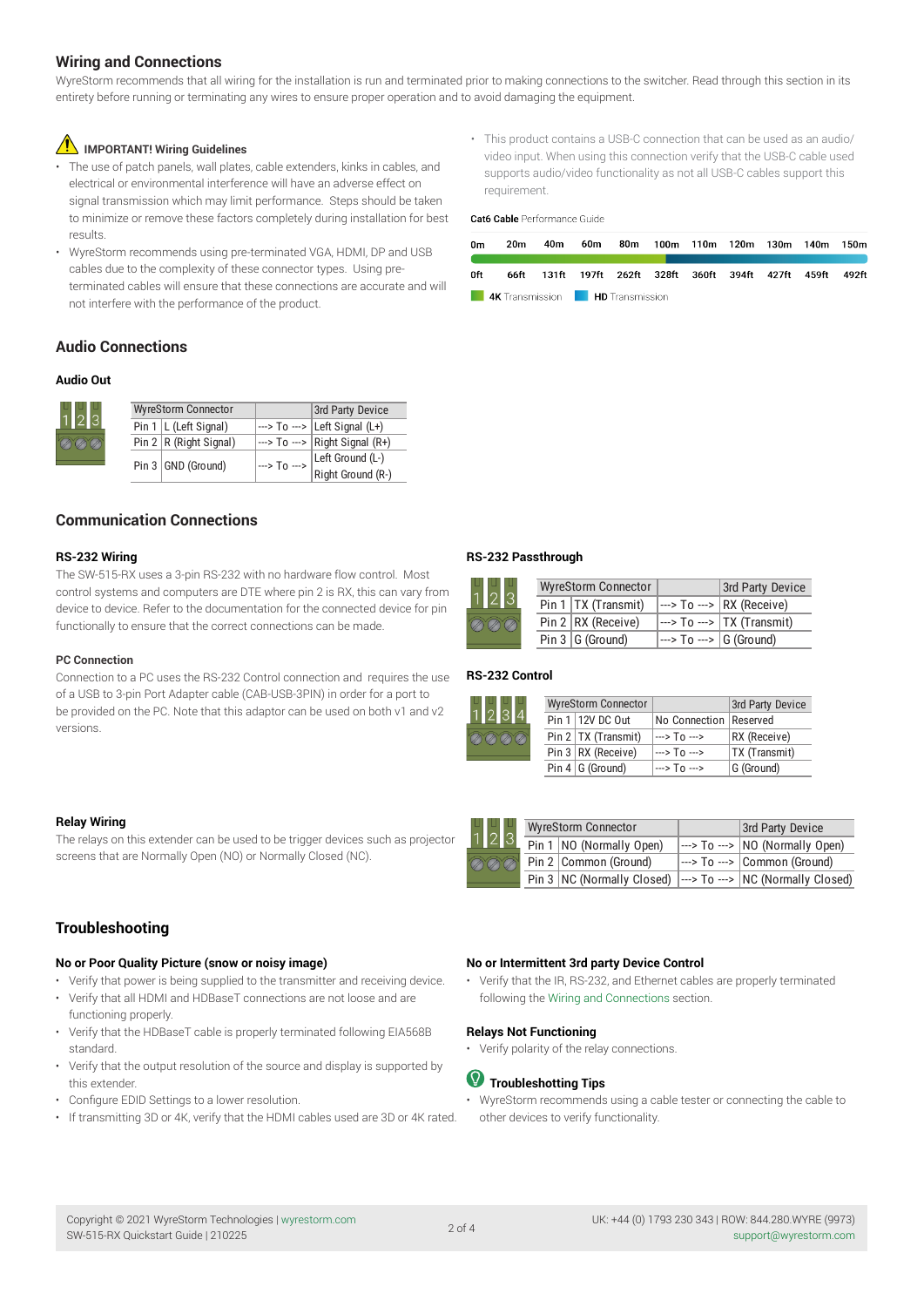# <span id="page-1-0"></span>**Wiring and Connections**

WyreStorm recommends that all wiring for the installation is run and terminated prior to making connections to the switcher. Read through this section in its entirety before running or terminating any wires to ensure proper operation and to avoid damaging the equipment.

# **IMPORTANT! Wiring Guidelines**

- The use of patch panels, wall plates, cable extenders, kinks in cables, and electrical or environmental interference will have an adverse effect on signal transmission which may limit performance. Steps should be taken to minimize or remove these factors completely during installation for best results.
- WyreStorm recommends using pre-terminated VGA, HDMI, DP and USB cables due to the complexity of these connector types. Using preterminated cables will ensure that these connections are accurate and will not interfere with the performance of the product.

## **Audio Connections**

### **Audio Out**

| ∐<br>੭  २ |  | <b>WyreStorm Connector</b>   |                                | 3rd Party Device                                                       |
|-----------|--|------------------------------|--------------------------------|------------------------------------------------------------------------|
|           |  | Pin $1 \mid L$ (Left Signal) |                                | $\left  \rightarrow \right $ To ---> $\left  \right $ Left Signal (L+) |
| ØØ        |  | Pin $2   R$ (Right Signal)   |                                | $\left  \cdots \right $ To $\left  \cdots \right $ Right Signal (R+)   |
|           |  | Pin 3 GND (Ground)           | $\rightarrow$ To $\rightarrow$ | Left Ground (L-)                                                       |
|           |  |                              |                                | Right Ground (R-)                                                      |

# **Communication Connections**

### **RS-232 Wiring**

The SW-515-RX uses a 3-pin RS-232 with no hardware flow control. Most control systems and computers are DTE where pin 2 is RX, this can vary from device to device. Refer to the documentation for the connected device for pin functionally to ensure that the correct connections can be made.

#### **PC Connection**

Connection to a PC uses the RS-232 Control connection and requires the use of a USB to 3-pin Port Adapter cable (CAB-USB-3PIN) in order for a port to be provided on the PC. Note that this adaptor can be used on both v1 and v2 versions.

### **Relay Wiring**

The relays on this extender can be used to be trigger devices such as projector screens that are Normally Open (NO) or Normally Closed (NC).

# **Troubleshooting**

#### **No or Poor Quality Picture (snow or noisy image)**

- Verify that power is being supplied to the transmitter and receiving device.
- Verify that all HDMI and HDBaseT connections are not loose and are functioning properly.
- Verify that the HDBaseT cable is properly terminated following EIA568B standard.
- Verify that the output resolution of the source and display is supported by this extender.
- Configure EDID Settings to a lower resolution.
- If transmitting 3D or 4K, verify that the HDMI cables used are 3D or 4K rated.

• This product contains a USB-C connection that can be used as an audio/ video input. When using this connection verify that the USB-C cable used supports audio/video functionality as not all USB-C cables support this requirement.

Cat6 Cable Performance Guide

| 0m  | 20m | 40m                                                        |  | 60m 80m 100m 110m 120m 130m 140m 150m |  |  |  |
|-----|-----|------------------------------------------------------------|--|---------------------------------------|--|--|--|
| 0ft |     | 66ft 131ft 197ft 262ft 328ft 360ft 394ft 427ft 459ft 492ft |  |                                       |  |  |  |
|     |     | <b>4K</b> Transmission <b>HD</b> Transmission              |  |                                       |  |  |  |

#### **RS-232 Passthrough**

| $\begin{array}{c c c c} & 1 & 1 \\ 1 & 2 & 3 \end{array}$ | <b>WyreStorm Connector</b> |                                                               | 3rd Party Device                                                          |
|-----------------------------------------------------------|----------------------------|---------------------------------------------------------------|---------------------------------------------------------------------------|
|                                                           | Pin 1   $TX$ (Transmit)    |                                                               | $\left  \rightarrow \right $ To $\left  \rightarrow \right $ RX (Receive) |
| <b>DOD</b>                                                | Pin 2 RX (Receive)         |                                                               | $\rightarrow$ To $\rightarrow$ TX (Transmit)                              |
|                                                           | Pin $3 G$ (Ground)         | $\left  \cdots \right $ To $\left  \cdots \right $ G (Ground) |                                                                           |

### **RS-232 Control**



| $\begin{array}{c c c c c} & 1 & 2 & 3 \end{array}$ | <b>WyreStorm Connector</b>      | 3rd Party Device                                                                            |                                                          |
|----------------------------------------------------|---------------------------------|---------------------------------------------------------------------------------------------|----------------------------------------------------------|
|                                                    | Pin $1 \mid NO$ (Normally Open) | $\left  \left  \left  \right  \right $ ---> $\left  \left  \right  \right $ (Normally Open) |                                                          |
| <b>DOD</b>                                         |                                 | Pin 2   Common (Ground)                                                                     | $\rightarrow$ To $\rightarrow$   Common (Ground)         |
|                                                    |                                 | Pin 3   NC (Normally Closed)                                                                | $\left  \cdots \right $ To $\cdots$ NC (Normally Closed) |

### **No or Intermittent 3rd party Device Control**

• Verify that the IR, RS-232, and Ethernet cables are properly terminated following the [Wiring and Connections](#page-1-0) section.

### **Relays Not Functioning**

• Verify polarity of the relay connections.

# **Troubleshotting Tips**

• WyreStorm recommends using a cable tester or connecting the cable to other devices to verify functionality.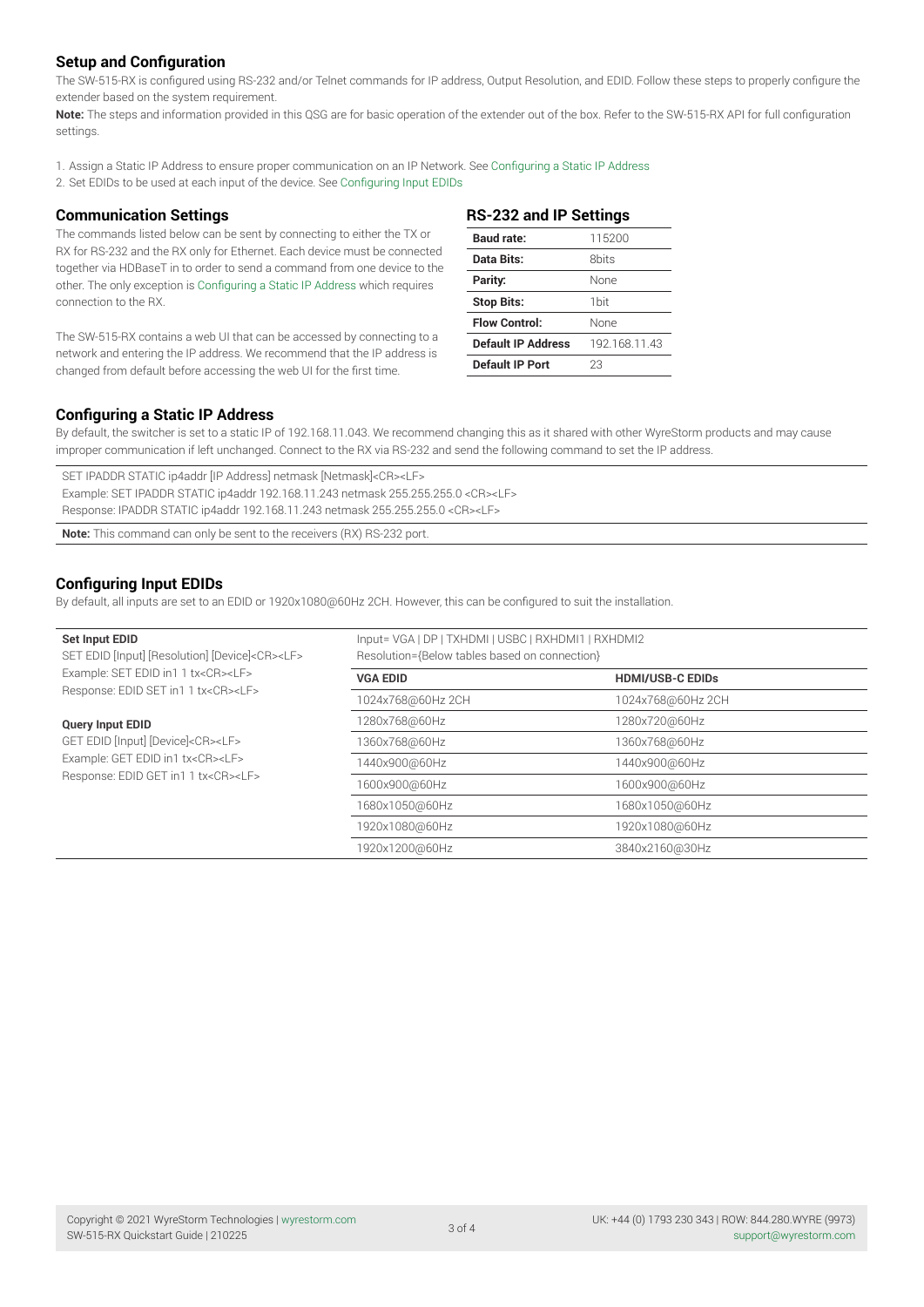# **Setup and Configuration**

The SW-515-RX is configured using RS-232 and/or Telnet commands for IP address, Output Resolution, and EDID. Follow these steps to properly configure the extender based on the system requirement.

**Note:** The steps and information provided in this QSG are for basic operation of the extender out of the box. Refer to the SW-515-RX API for full configuration settings.

1. Assign a Static IP Address to ensure proper communication on an IP Network. See [Configuring a Static IP Address](#page-2-0)

2. Set EDIDs to be used at each input of the device. See [Configuring Input EDIDs](#page-2-1)

### **Communication Settings**

The commands listed below can be sent by connecting to either the TX or RX for RS-232 and the RX only for Ethernet. Each device must be connected together via HDBaseT in to order to send a command from one device to the other. The only exception is Configuring a Static IP Address which requires connection to the RX.

The SW-515-RX contains a web UI that can be accessed by connecting to a network and entering the IP address. We recommend that the IP address is changed from default before accessing the web UI for the first time.

| <b>RS-232 and IP Settings</b> |                  |  |  |
|-------------------------------|------------------|--|--|
| <b>Baud rate:</b>             | 115200           |  |  |
| Data Bits:                    | 8bits            |  |  |
| Parity:                       | None             |  |  |
| <b>Stop Bits:</b>             | 1 <sub>bit</sub> |  |  |
| <b>Flow Control:</b>          | None             |  |  |
| <b>Default IP Address</b>     | 192.168.11.43    |  |  |
| Default IP Port               | 23               |  |  |

## <span id="page-2-0"></span>**Configuring a Static IP Address**

By default, the switcher is set to a static IP of 192.168.11.043. We recommend changing this as it shared with other WyreStorm products and may cause improper communication if left unchanged. Connect to the RX via RS-232 and send the following command to set the IP address

SET IPADDR STATIC ip4addr [IP Address] netmask [Netmask]<CR><LF> Example: SET IPADDR STATIC ip4addr 192.168.11.243 netmask 255.255.255.0 <CR><LF> Response: IPADDR STATIC ip4addr 192.168.11.243 netmask 255.255.255.0 <CR><LF>

**Note:** This command can only be sent to the receivers (RX) RS-232 port.

# <span id="page-2-1"></span>**Configuring Input EDIDs**

By default, all inputs are set to an EDID or 1920x1080@60Hz 2CH. However, this can be configured to suit the installation.

| Set Input EDID<br>SET EDID [Input] [Resolution] [Device] <cr><lf></lf></cr> | Input= VGA   DP   TXHDMI   USBC   RXHDMI1   RXHDMI2<br>Resolution={Below tables based on connection} |                         |  |  |  |
|-----------------------------------------------------------------------------|------------------------------------------------------------------------------------------------------|-------------------------|--|--|--|
| Example: SET EDID in1 1 tx <cr><lf></lf></cr>                               | <b>VGA EDID</b>                                                                                      | <b>HDMI/USB-C EDIDs</b> |  |  |  |
| Response: EDID SET in1 1 tx <cr><lf></lf></cr>                              | 1024x768@60Hz2CH                                                                                     | 1024x768@60Hz2CH        |  |  |  |
| <b>Query Input EDID</b>                                                     | 1280x768@60Hz                                                                                        | 1280x720@60Hz           |  |  |  |
| GET EDID [Input] [Device] <cr><lf></lf></cr>                                | 1360x768@60Hz                                                                                        | 1360x768@60Hz           |  |  |  |
| Example: GET EDID in1 tx <cr><lf></lf></cr>                                 | 1440x900@60Hz                                                                                        | 1440x900@60Hz           |  |  |  |
| Response: EDID GET in1 1 tx <cr><lf></lf></cr>                              | 1600x900@60Hz                                                                                        | 1600x900@60Hz           |  |  |  |
|                                                                             | 1680x1050@60Hz                                                                                       | 1680x1050@60Hz          |  |  |  |
|                                                                             | 1920x1080@60Hz                                                                                       | 1920x1080@60Hz          |  |  |  |
|                                                                             | 1920x1200@60Hz                                                                                       | 3840x2160@30Hz          |  |  |  |
|                                                                             |                                                                                                      |                         |  |  |  |